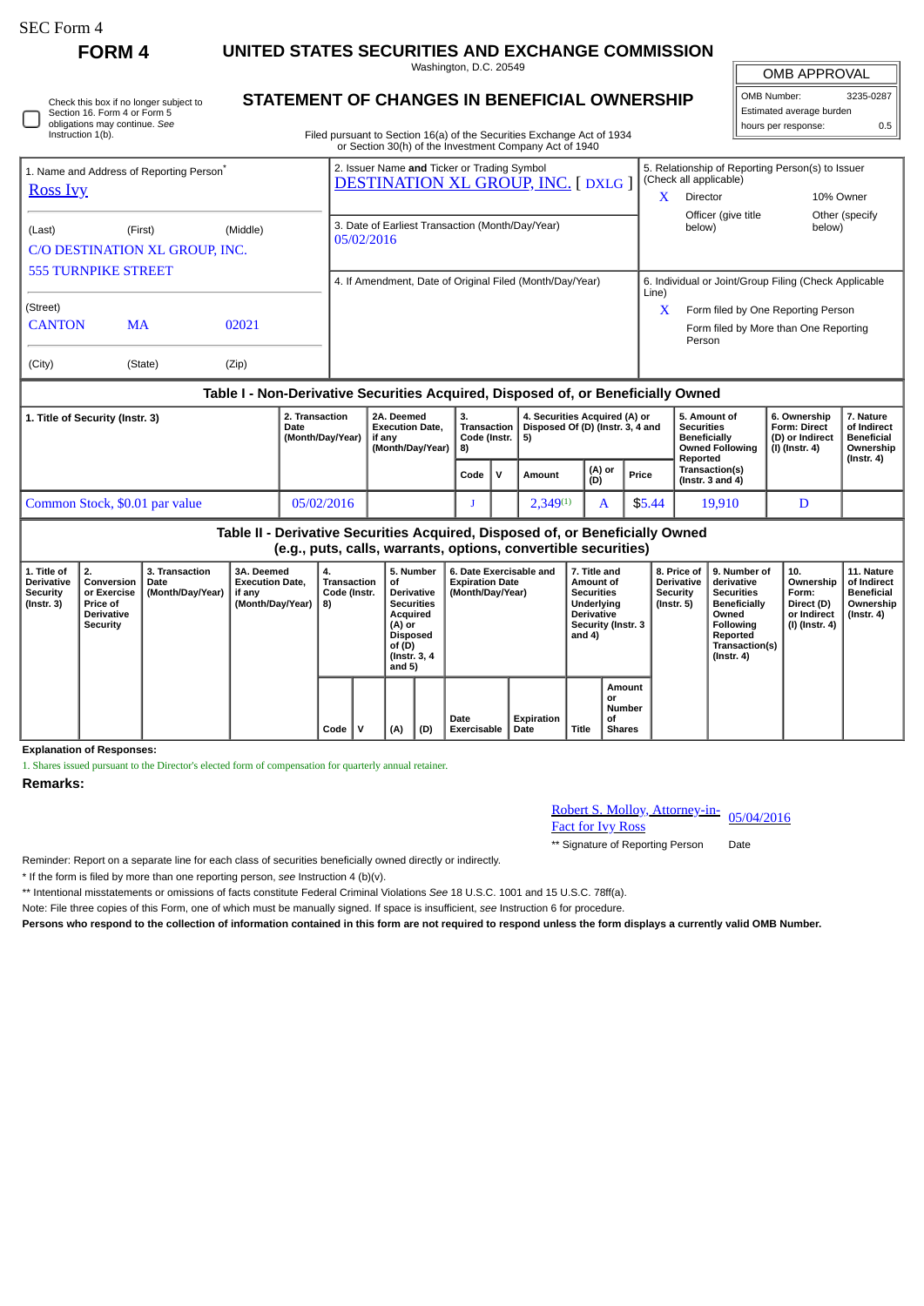∩

**FORM 4 UNITED STATES SECURITIES AND EXCHANGE COMMISSION**

Washington, D.C. 20549

| Check this box if no longer subject to |
|----------------------------------------|
| Section 16. Form 4 or Form 5           |
| obligations may continue. See          |
| Instruction 1(b).                      |

# **STATEMENT OF CHANGES IN BENEFICIAL OWNERSHIP**

Filed pursuant to Section 16(a) of the Securities Exchange Act of 1934 or Section 30(h) of the Investment Company Act of 1940

## OMB APPROVAL OMB Number: 3235-0287 Estimated average burden hours per response: 0.5

|                                                                         |                                |          | 0. Ocean 1 Dolly of the mycothical Company Alet of 1940                                  |                                                                            |                                                       |                 |  |  |
|-------------------------------------------------------------------------|--------------------------------|----------|------------------------------------------------------------------------------------------|----------------------------------------------------------------------------|-------------------------------------------------------|-----------------|--|--|
| 1. Name and Address of Reporting Person <sup>®</sup><br><b>Ross Ivy</b> |                                |          | 2. Issuer Name and Ticker or Trading Symbol<br><b>DESTINATION XL GROUP, INC. [DXLG ]</b> | 5. Relationship of Reporting Person(s) to Issuer<br>(Check all applicable) |                                                       |                 |  |  |
|                                                                         |                                |          |                                                                                          | x                                                                          | Director                                              | 10% Owner       |  |  |
|                                                                         |                                |          |                                                                                          |                                                                            | Officer (give title)                                  | Other (specify) |  |  |
| (Last)                                                                  | (First)                        | (Middle) | 3. Date of Earliest Transaction (Month/Day/Year)<br>05/02/2016                           |                                                                            | below)                                                | below)          |  |  |
|                                                                         | C/O DESTINATION XL GROUP, INC. |          |                                                                                          |                                                                            |                                                       |                 |  |  |
| <b>555 TURNPIKE STREET</b>                                              |                                |          |                                                                                          |                                                                            |                                                       |                 |  |  |
|                                                                         |                                |          | 4. If Amendment, Date of Original Filed (Month/Day/Year)                                 | Line)                                                                      | 6. Individual or Joint/Group Filing (Check Applicable |                 |  |  |
| (Street)                                                                |                                |          |                                                                                          |                                                                            | Form filed by One Reporting Person                    |                 |  |  |
| <b>CANTON</b>                                                           | MA                             | 02021    |                                                                                          |                                                                            | Form filed by More than One Reporting<br>Person       |                 |  |  |
| (City)                                                                  | (State)                        | (Zip)    |                                                                                          |                                                                            |                                                       |                 |  |  |

# **Table I - Non-Derivative Securities Acquired, Disposed of, or Beneficially Owned**

| 1. Title of Security (Instr. 3) | 2. Transaction<br>Date<br>(Month/Day/Year) |  | з.<br><b>Transaction</b><br>Code (Instr.   5)<br>  (Month/Dav/Year)   8) |  | 4. Securities Acquired (A) or<br>Disposed Of (D) (Instr. 3, 4 and |               |        | 5. Amount of<br><b>Securities</b><br><b>Beneficially</b><br><b>Owned Following</b><br>Reported | 6. Ownership<br><b>Form: Direct</b><br>(D) or Indirect<br>(I) (Instr. 4) | 7. Nature<br>of Indirect<br><b>Beneficial</b><br>Ownership<br>$($ lnstr. 4 $)$ |
|---------------------------------|--------------------------------------------|--|--------------------------------------------------------------------------|--|-------------------------------------------------------------------|---------------|--------|------------------------------------------------------------------------------------------------|--------------------------------------------------------------------------|--------------------------------------------------------------------------------|
|                                 |                                            |  | Code                                                                     |  | Amount                                                            | (A) or<br>(D) | Price  | <b>Transaction(s)</b><br>(Instr. $3$ and $4$ )                                                 |                                                                          |                                                                                |
| Common Stock, \$0.01 par value  | 05/02/2016                                 |  |                                                                          |  | $2,349^{(1)}$                                                     |               | \$5.44 | 19,910                                                                                         | D                                                                        |                                                                                |

### **Table II - Derivative Securities Acquired, Disposed of, or Beneficially Owned (e.g., puts, calls, warrants, options, convertible securities)**

| 1. Title of<br><b>Derivative</b><br>Security<br>$($ lnstr. 3 $)$ | 2.<br>Conversion<br>or Exercise<br><b>Price of</b><br><b>Derivative</b><br>Security | 3. Transaction<br>Date<br>(Month/Day/Year) | 3A. Deemed<br><b>Execution Date.</b><br>if any<br>(Month/Day/Year) | 4.<br>Transaction<br>Code (Instr.<br>8) |  | 5. Number<br>οf<br><b>Derivative</b><br><b>Securities</b><br>Acquired<br>(A) or<br><b>Disposed</b><br>of (D)<br>(Instr. 3, 4)<br>and 5) |  | 6. Date Exercisable and<br><b>Expiration Date</b><br>(Month/Day/Year) |     | 7. Title and<br>Amount of<br><b>Securities</b><br>Underlying<br><b>Derivative</b><br>Security (Instr. 3<br>and 4) |                    | 8. Price of<br><b>Derivative</b><br><b>Security</b><br>(Instr. 5) | 9. Number of<br>derivative<br><b>Securities</b><br><b>Beneficially</b><br>Owned<br>Following<br>Reported<br>Transaction(s)<br>(Instr. 4) | 10.<br>Ownership<br>Form:<br>Direct (D)<br>or Indirect<br>(I) (Instr. 4) | 11. Nature<br>of Indirect<br><b>Beneficial</b><br>Ownership<br>$($ Instr. 4 $)$ |  |
|------------------------------------------------------------------|-------------------------------------------------------------------------------------|--------------------------------------------|--------------------------------------------------------------------|-----------------------------------------|--|-----------------------------------------------------------------------------------------------------------------------------------------|--|-----------------------------------------------------------------------|-----|-------------------------------------------------------------------------------------------------------------------|--------------------|-------------------------------------------------------------------|------------------------------------------------------------------------------------------------------------------------------------------|--------------------------------------------------------------------------|---------------------------------------------------------------------------------|--|
|                                                                  |                                                                                     |                                            |                                                                    |                                         |  | Code                                                                                                                                    |  | (A)                                                                   | (D) | Date<br>Exercisable                                                                                               | Expiration<br>Date | Title                                                             | Amount<br>or<br>Number<br>οf<br><b>Shares</b>                                                                                            |                                                                          |                                                                                 |  |

**Explanation of Responses:**

1. Shares issued pursuant to the Director's elected form of compensation for quarterly annual retainer.

**Remarks:**

#### Robert S. Molloy, Attorney-in-**EXECUTE:** <u>KODETT S. MOILOY, Attorney-in-</u><br>Fact for Ivy Ross

\*\* Signature of Reporting Person Date

Reminder: Report on a separate line for each class of securities beneficially owned directly or indirectly.

\* If the form is filed by more than one reporting person, *see* Instruction 4 (b)(v).

\*\* Intentional misstatements or omissions of facts constitute Federal Criminal Violations *See* 18 U.S.C. 1001 and 15 U.S.C. 78ff(a).

Note: File three copies of this Form, one of which must be manually signed. If space is insufficient, *see* Instruction 6 for procedure.

**Persons who respond to the collection of information contained in this form are not required to respond unless the form displays a currently valid OMB Number.**